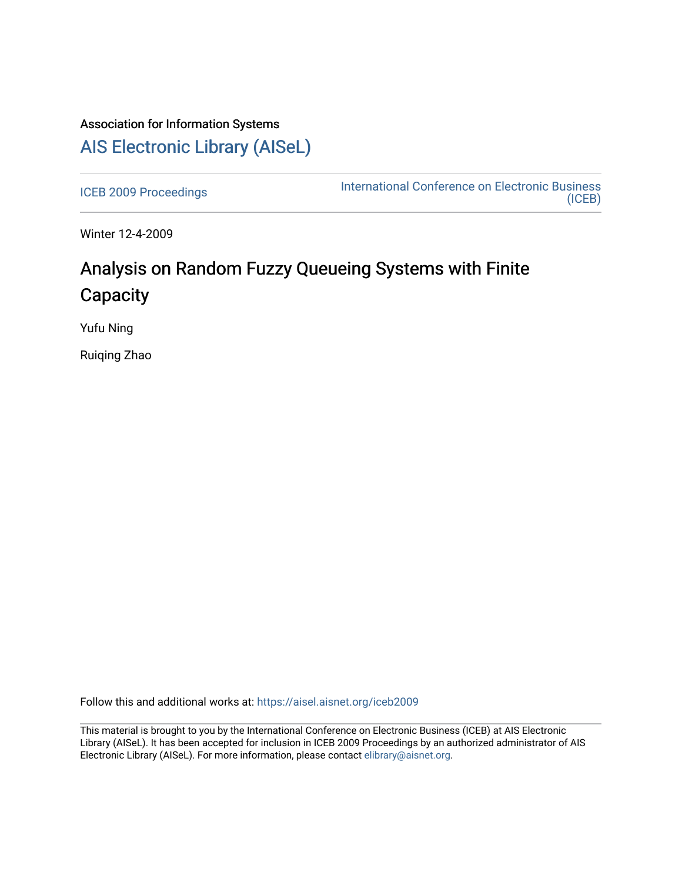# Association for Information Systems [AIS Electronic Library \(AISeL\)](https://aisel.aisnet.org/)

[ICEB 2009 Proceedings](https://aisel.aisnet.org/iceb2009) **International Conference on Electronic Business** [\(ICEB\)](https://aisel.aisnet.org/iceb) 

Winter 12-4-2009

# Analysis on Random Fuzzy Queueing Systems with Finite **Capacity**

Yufu Ning

Ruiqing Zhao

Follow this and additional works at: [https://aisel.aisnet.org/iceb2009](https://aisel.aisnet.org/iceb2009?utm_source=aisel.aisnet.org%2Ficeb2009%2F142&utm_medium=PDF&utm_campaign=PDFCoverPages)

This material is brought to you by the International Conference on Electronic Business (ICEB) at AIS Electronic Library (AISeL). It has been accepted for inclusion in ICEB 2009 Proceedings by an authorized administrator of AIS Electronic Library (AISeL). For more information, please contact [elibrary@aisnet.org.](mailto:elibrary@aisnet.org%3E)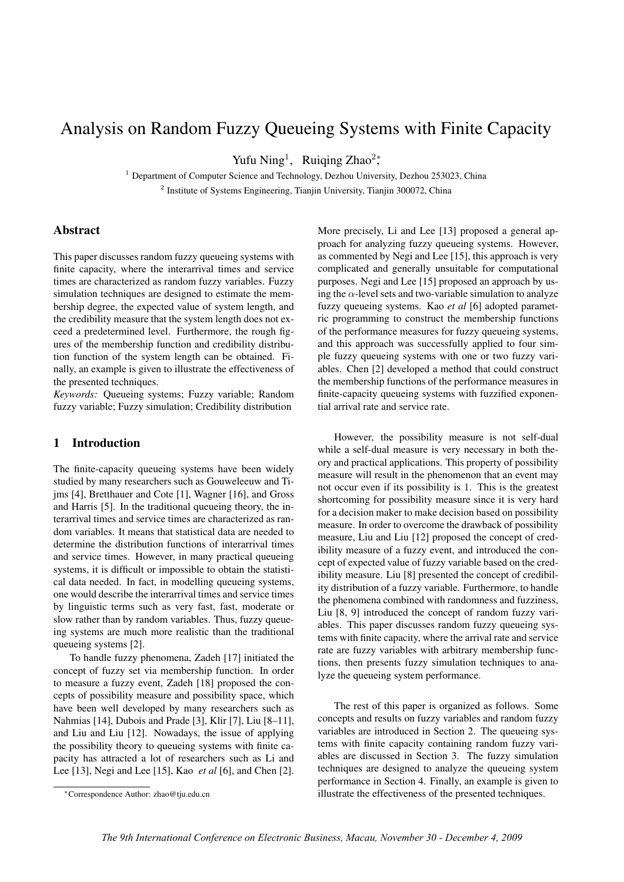# Analysis on Random Fuzzy Queueing Systems with Finite Capacity

Yufu Ning<sup>1</sup>, Ruiqing Zhao<sup>2</sup><sup>\*</sup>,

<sup>1</sup> Department of Computer Science and Technology, Dezhou University, Dezhou 253023, China <sup>2</sup> Institute of Systems Engineering, Tianjin University, Tianjin 300072, China

## Abstract

This paper discusses random fuzzy queueing systems with finite capacity, where the interarrival times and service times are characterized as random fuzzy variables. Fuzzy simulation techniques are designed to estimate the membership degree, the expected value of system length, and the credibility measure that the system length does not exceed a predetermined level. Furthermore, the rough figures of the membership function and credibility distribution function of the system length can be obtained. Finally, an example is given to illustrate the effectiveness of the presented techniques.

*Keywords:* Queueing systems; Fuzzy variable; Random fuzzy variable; Fuzzy simulation; Credibility distribution

## 1 Introduction

The finite-capacity queueing systems have been widely studied by many researchers such as Gouweleeuw and Tijms [4], Bretthauer and Cote [1], Wagner [16], and Gross and Harris [5]. In the traditional queueing theory, the interarrival times and service times are characterized as random variables. It means that statistical data are needed to determine the distribution functions of interarrival times and service times. However, in many practical queueing systems, it is difficult or impossible to obtain the statistical data needed. In fact, in modelling queueing systems, one would describe the interarrival times and service times by linguistic terms such as very fast, fast, moderate or slow rather than by random variables. Thus, fuzzy queueing systems are much more realistic than the traditional queueing systems [2].

To handle fuzzy phenomena, Zadeh [17] initiated the concept of fuzzy set via membership function. In order to measure a fuzzy event, Zadeh [18] proposed the concepts of possibility measure and possibility space, which have been well developed by many researchers such as Nahmias [14], Dubois and Prade [3], Klir [7], Liu [8–11], and Liu and Liu [12]. Nowadays, the issue of applying the possibility theory to queueing systems with finite capacity has attracted a lot of researchers such as Li and Lee [13], Negi and Lee [15], Kao *et al* [6], and Chen [2].

More precisely, Li and Lee [13] proposed a general approach for analyzing fuzzy queueing systems. However, as commented by Negi and Lee [15], this approach is very complicated and generally unsuitable for computational purposes. Negi and Lee [15] proposed an approach by using the  $\alpha$ -level sets and two-variable simulation to analyze fuzzy queueing systems. Kao *et al* [6] adopted parametric programming to construct the membership functions of the performance measures for fuzzy queueing systems, and this approach was successfully applied to four simple fuzzy queueing systems with one or two fuzzy variables. Chen [2] developed a method that could construct the membership functions of the performance measures in finite-capacity queueing systems with fuzzified exponential arrival rate and service rate.

However, the possibility measure is not self-dual while a self-dual measure is very necessary in both theory and practical applications. This property of possibility measure will result in the phenomenon that an event may not occur even if its possibility is 1. This is the greatest shortcoming for possibility measure since it is very hard for a decision maker to make decision based on possibility measure. In order to overcome the drawback of possibility measure, Liu and Liu [12] proposed the concept of credibility measure of a fuzzy event, and introduced the concept of expected value of fuzzy variable based on the credibility measure. Liu [8] presented the concept of credibility distribution of a fuzzy variable. Furthermore, to handle the phenomena combined with randomness and fuzziness, Liu [8, 9] introduced the concept of random fuzzy variables. This paper discusses random fuzzy queueing systems with finite capacity, where the arrival rate and service rate are fuzzy variables with arbitrary membership functions, then presents fuzzy simulation techniques to analyze the queueing system performance.

The rest of this paper is organized as follows. Some concepts and results on fuzzy variables and random fuzzy variables are introduced in Section 2. The queueing systems with finite capacity containing random fuzzy variables are discussed in Section 3. The fuzzy simulation techniques are designed to analyze the queueing system performance in Section 4. Finally, an example is given to illustrate the effectiveness of the presented techniques.

<sup>∗</sup>Correspondence Author: zhao@tju.edu.cn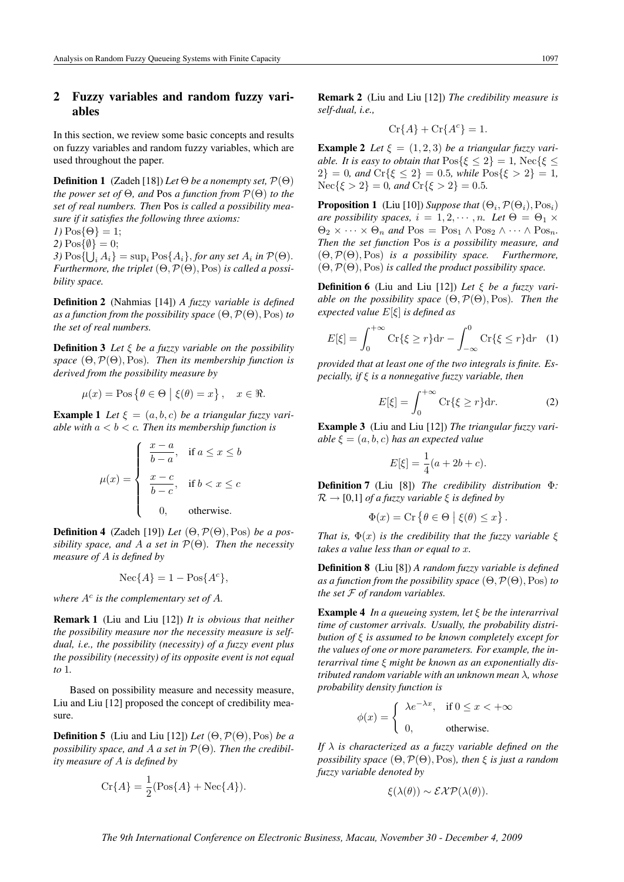# 2 Fuzzy variables and random fuzzy variables

In this section, we review some basic concepts and results on fuzzy variables and random fuzzy variables, which are used throughout the paper.

**Definition 1** (Zadeh [18]) *Let*  $\Theta$  *be a nonempty set,*  $\mathcal{P}(\Theta)$ *the power set of* Θ*, and* Pos *a function from* P(Θ) *to the set of real numbers. Then* Pos *is called a possibility measure if it satisfies the following three axioms:*

 $I) \text{Pos} \{\Theta\} = 1;$ 

2)  $\text{Pos}\{\emptyset\} = 0;$ 

3)  $\text{Pos}\{\bigcup_i A_i\} = \text{sup}_i \text{Pos}\{A_i\}$ , *for any set*  $A_i$  *in*  $\mathcal{P}(\Theta)$ . *Furthermore, the triplet*  $(\Theta, \mathcal{P}(\Theta), \text{Pos})$  *is called a possibility space.*

Definition 2 (Nahmias [14]) *A fuzzy variable is defined as a function from the possibility space* (Θ,P(Θ),Pos) *to the set of real numbers.*

Definition 3 *Let* ξ *be a fuzzy variable on the possibility space* (Θ,P(Θ),Pos)*. Then its membership function is derived from the possibility measure by*

$$
\mu(x) = \text{Pos}\left\{\theta \in \Theta \mid \xi(\theta) = x\right\}, \quad x \in \Re.
$$

**Example 1** Let  $\xi = (a, b, c)$  be a triangular fuzzy vari*able with* a < b < c*. Then its membership function is*

$$
\mu(x) = \begin{cases} \frac{x-a}{b-a}, & \text{if } a \leq x \leq b \\ \frac{x-c}{b-c}, & \text{if } b < x \leq c \\ 0, & \text{otherwise.} \end{cases}
$$

Definition 4 (Zadeh [19]) *Let* (Θ,P(Θ),Pos) *be a possibility space, and* A *a set in* P(Θ)*. Then the necessity measure of* A *is defined by*

$$
Nec{A} = 1 - Pos{Ac},
$$

where  $A^c$  is the complementary set of  $A$ .

Remark 1 (Liu and Liu [12]) *It is obvious that neither the possibility measure nor the necessity measure is selfdual, i.e., the possibility (necessity) of a fuzzy event plus the possibility (necessity) of its opposite event is not equal to* 1*.*

Based on possibility measure and necessity measure, Liu and Liu [12] proposed the concept of credibility measure.

**Definition 5** (Liu and Liu [12]) *Let*  $(\Theta, \mathcal{P}(\Theta), \text{Pos})$  *be a possibility space, and* A *a set in* P(Θ)*. Then the credibility measure of* A *is defined by*

$$
\operatorname{Cr}\{A\} = \frac{1}{2}(\operatorname{Pos}\{A\} + \operatorname{Nec}\{A\}).
$$

Remark 2 (Liu and Liu [12]) *The credibility measure is self-dual, i.e.,*

$$
\operatorname{Cr}\{A\} + \operatorname{Cr}\{A^c\} = 1.
$$

**Example 2** Let  $\xi = (1, 2, 3)$  be a triangular fuzzy vari*able. It is easy to obtain that*  $\text{Pos}\{\xi \leq 2\} = 1$ ,  $\text{Nec}\{\xi \leq 1\}$  $2$ } = 0*, and* Cr{ $\xi \le 2$ } = 0.5*, while* Pos{ $\xi > 2$ } = 1*,*  $Nec{\xi > 2} = 0$ *, and*  $Cr{\xi > 2} = 0.5$ *.* 

**Proposition 1** (Liu [10]) *Suppose that*  $(\Theta_i, \mathcal{P}(\Theta_i), \text{Pos}_i)$ *are possibility spaces,*  $i = 1, 2, \dots, n$ *. Let*  $\Theta = \Theta_1 \times$  $\Theta_2 \times \cdots \times \Theta_n$  *and*  $\text{Pos}_1 \wedge \text{Pos}_2 \wedge \cdots \wedge \text{Pos}_n$ . *Then the set function* Pos *is a possibility measure, and* (Θ,P(Θ),Pos) *is a possibility space. Furthermore,* (Θ,P(Θ),Pos) *is called the product possibility space.*

Definition 6 (Liu and Liu [12]) *Let* ξ *be a fuzzy variable on the possibility space* (Θ,P(Θ),Pos)*. Then the expected value* E[ξ] *is defined as*

$$
E[\xi] = \int_0^{+\infty} \text{Cr}\{\xi \ge r\} \, \text{dr} - \int_{-\infty}^0 \text{Cr}\{\xi \le r\} \, \text{dr} \quad (1)
$$

*provided that at least one of the two integrals is finite. Especially, if* ξ *is a nonnegative fuzzy variable, then*

$$
E[\xi] = \int_0^{+\infty} \mathrm{Cr}\{\xi \ge r\} \mathrm{d}r. \tag{2}
$$

Example 3 (Liu and Liu [12]) *The triangular fuzzy variable*  $\xi = (a, b, c)$  *has an expected value* 

$$
E[\xi] = \frac{1}{4}(a + 2b + c).
$$

Definition 7 (Liu [8]) *The credibility distribution* Φ*:*  $\mathcal{R} \rightarrow [0,1]$  *of a fuzzy variable*  $\xi$  *is defined by* 

$$
\Phi(x) = \text{Cr} \left\{ \theta \in \Theta \mid \xi(\theta) \leq x \right\}.
$$

*That is,*  $\Phi(x)$  *is the credibility that the fuzzy variable*  $\xi$ *takes a value less than or equal to* x*.*

Definition 8 (Liu [8]) *A random fuzzy variable is defined as a function from the possibility space*  $(\Theta, \mathcal{P}(\Theta), \text{Pos})$  *to the set* F *of random variables.*

Example 4 *In a queueing system, let* ξ *be the interarrival time of customer arrivals. Usually, the probability distribution of* ξ *is assumed to be known completely except for the values of one or more parameters. For example, the interarrival time* ξ *might be known as an exponentially distributed random variable with an unknown mean* λ*, whose probability density function is*

$$
\phi(x) = \begin{cases} \lambda e^{-\lambda x}, & \text{if } 0 \le x < +\infty \\ 0, & \text{otherwise.} \end{cases}
$$

*If* λ *is characterized as a fuzzy variable defined on the possibility space* (Θ,P(Θ),Pos)*, then* ξ *is just a random fuzzy variable denoted by*

$$
\xi(\lambda(\theta)) \sim \mathcal{EXP}(\lambda(\theta)).
$$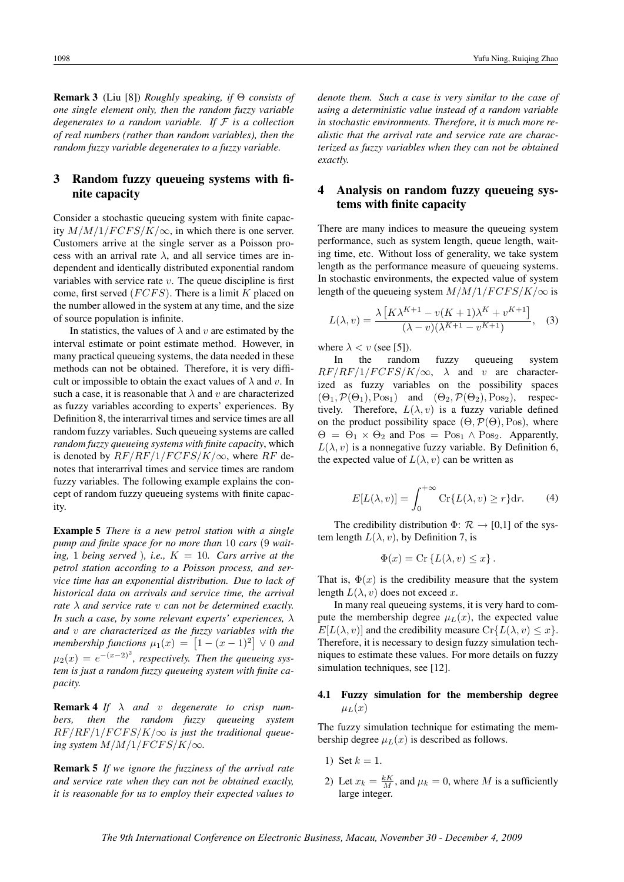## 3 Random fuzzy queueing systems with finite capacity

Consider a stochastic queueing system with finite capacity  $M/M/1/FCF S/K/\infty$ , in which there is one server. Customers arrive at the single server as a Poisson process with an arrival rate  $\lambda$ , and all service times are independent and identically distributed exponential random variables with service rate  $v$ . The queue discipline is first come, first served  $(FCFS)$ . There is a limit K placed on the number allowed in the system at any time, and the size of source population is infinite.

In statistics, the values of  $\lambda$  and v are estimated by the interval estimate or point estimate method. However, in many practical queueing systems, the data needed in these methods can not be obtained. Therefore, it is very difficult or impossible to obtain the exact values of  $\lambda$  and v. In such a case, it is reasonable that  $\lambda$  and v are characterized as fuzzy variables according to experts' experiences. By Definition 8, the interarrival times and service times are all random fuzzy variables. Such queueing systems are called *random fuzzy queueing systems with finite capacity*, which is denoted by  $RF/RF/1/FCFS/K/\infty$ , where RF denotes that interarrival times and service times are random fuzzy variables. The following example explains the concept of random fuzzy queueing systems with finite capacity.

Example 5 *There is a new petrol station with a single pump and finite space for no more than* 10 *cars* (9 *waiting,* 1 *being served ), i.e.,*  $K = 10$ *. Cars arrive at the petrol station according to a Poisson process, and service time has an exponential distribution. Due to lack of historical data on arrivals and service time, the arrival rate* λ *and service rate* v *can not be determined exactly. In such a case, by some relevant experts' experiences,* λ *and* v *are characterized as the fuzzy variables with the*  $\mathcal{L}$  *membership functions*  $\mu_1(x) = \left[1 - (x-1)^2\right] \vee 0$  and  $\mu_2(x) = e^{-(x-2)^2}$ , respectively. Then the queueing sys*tem is just a random fuzzy queueing system with finite capacity.*

Remark 4 *If* λ *and* v *degenerate to crisp numbers, then the random fuzzy queueing system*  $RF/RF/1/FCFS/K/\infty$  is just the traditional queue*ing system*  $M/M/1/FCFS/K/\infty$ *.* 

Remark 5 *If we ignore the fuzziness of the arrival rate and service rate when they can not be obtained exactly, it is reasonable for us to employ their expected values to*

*denote them. Such a case is very similar to the case of using a deterministic value instead of a random variable in stochastic environments. Therefore, it is much more realistic that the arrival rate and service rate are characterized as fuzzy variables when they can not be obtained exactly.*

# 4 Analysis on random fuzzy queueing systems with finite capacity

There are many indices to measure the queueing system performance, such as system length, queue length, waiting time, etc. Without loss of generality, we take system length as the performance measure of queueing systems. In stochastic environments, the expected value of system length of the queueing system  $M/M/1/FCF S/K/\infty$  is

$$
L(\lambda, v) = \frac{\lambda \left[ K \lambda^{K+1} - v(K+1)\lambda^K + v^{K+1} \right]}{(\lambda - v)(\lambda^{K+1} - v^{K+1})}, \quad (3)
$$

where  $\lambda < v$  (see [5]).

In the random fuzzy queueing system  $RF/RF/1/FCFS/K/\infty$ ,  $\lambda$  and v are characterized as fuzzy variables on the possibility spaces  $(\Theta_1, \mathcal{P}(\Theta_1), \text{Pos}_1)$  and  $(\Theta_2, \mathcal{P}(\Theta_2), \text{Pos}_2)$ , respectively. Therefore,  $L(\lambda, v)$  is a fuzzy variable defined on the product possibility space  $(\Theta, \mathcal{P}(\Theta), \text{Pos})$ , where  $\Theta = \Theta_1 \times \Theta_2$  and  $\text{Pos}_1 = \text{Pos}_1 \wedge \text{Pos}_2$ . Apparently,  $L(\lambda, v)$  is a nonnegative fuzzy variable. By Definition 6, the expected value of  $L(\lambda, v)$  can be written as

$$
E[L(\lambda, v)] = \int_0^{+\infty} \operatorname{Cr}\{L(\lambda, v) \ge r\} dr.
$$
 (4)

The credibility distribution  $\Phi$ :  $\mathcal{R} \rightarrow [0,1]$  of the system length  $L(\lambda, v)$ , by Definition 7, is

$$
\Phi(x) = \text{Cr} \left\{ L(\lambda, v) \le x \right\}.
$$

That is,  $\Phi(x)$  is the credibility measure that the system length  $L(\lambda, v)$  does not exceed x.

In many real queueing systems, it is very hard to compute the membership degree  $\mu_L(x)$ , the expected value  $E[L(\lambda, v)]$  and the credibility measure  $Cr\{L(\lambda, v) \leq x\}$ . Therefore, it is necessary to design fuzzy simulation techniques to estimate these values. For more details on fuzzy simulation techniques, see [12].

#### 4.1 Fuzzy simulation for the membership degree  $\mu_L(x)$

The fuzzy simulation technique for estimating the membership degree  $\mu_L(x)$  is described as follows.

- 1) Set  $k = 1$ .
- 2) Let  $x_k = \frac{kK}{M}$ , and  $\mu_k = 0$ , where M is a sufficiently large integer.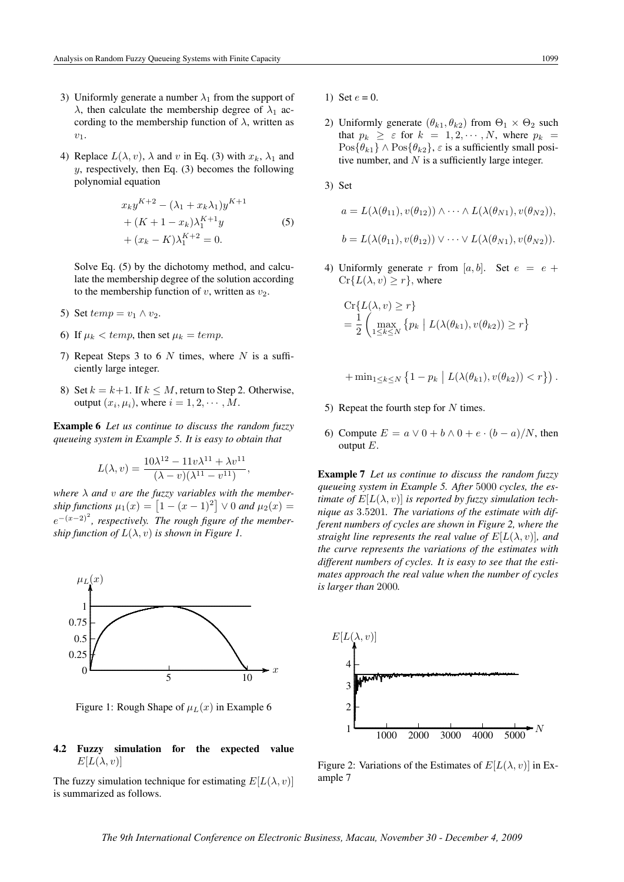- 3) Uniformly generate a number  $\lambda_1$  from the support of  $\lambda$ , then calculate the membership degree of  $\lambda_1$  according to the membership function of  $\lambda$ , written as  $v_1$ .
- 4) Replace  $L(\lambda, v)$ ,  $\lambda$  and v in Eq. (3) with  $x_k$ ,  $\lambda_1$  and  $y$ , respectively, then Eq. (3) becomes the following polynomial equation

$$
x_{k}y^{K+2} - (\lambda_{1} + x_{k}\lambda_{1})y^{K+1}
$$
  
+ 
$$
(K + 1 - x_{k})\lambda_{1}^{K+1}y
$$
  
+ 
$$
(x_{k} - K)\lambda_{1}^{K+2} = 0.
$$
 (5)

Solve Eq. (5) by the dichotomy method, and calculate the membership degree of the solution according to the membership function of  $v$ , written as  $v_2$ .

- 5) Set  $temp = v_1 \wedge v_2$ .
- 6) If  $\mu_k < temp$ , then set  $\mu_k = temp$ .
- 7) Repeat Steps 3 to 6  $N$  times, where  $N$  is a sufficiently large integer.
- 8) Set  $k = k+1$ . If  $k \leq M$ , return to Step 2. Otherwise, output  $(x_i, \mu_i)$ , where  $i = 1, 2, \dots, M$ .

Example 6 *Let us continue to discuss the random fuzzy queueing system in Example 5. It is easy to obtain that*

$$
L(\lambda, v) = \frac{10\lambda^{12} - 11v\lambda^{11} + \lambda v^{11}}{(\lambda - v)(\lambda^{11} - v^{11})},
$$

*where* λ *and* v *are the fuzzy variables with the member-* $\n *ship functions*\n  $\mu_1(x) = \left[1 - (x - 1)^2\right] \vee 0 \text{ and } \mu_2(x) = 0$$  $e^{-(x-2)^2}$ , respectively. The rough figure of the member*ship function of*  $L(\lambda, v)$  *is shown in Figure 1.* 



Figure 1: Rough Shape of  $\mu_L(x)$  in Example 6

#### 4.2 Fuzzy simulation for the expected value  $E[L(\lambda, v)]$

The fuzzy simulation technique for estimating  $E[L(\lambda, v)]$ is summarized as follows.

- 1) Set  $e = 0$ .
- 2) Uniformly generate  $(\theta_{k1}, \theta_{k2})$  from  $\Theta_1 \times \Theta_2$  such that  $p_k \geq \varepsilon$  for  $k = 1, 2, \dots, N$ , where  $p_k =$  $\text{Pos}\{\theta_{k1}\}\wedge\text{Pos}\{\theta_{k2}\}, \varepsilon$  is a sufficiently small positive number, and  $N$  is a sufficiently large integer.

3) Set

$$
a = L(\lambda(\theta_{11}), v(\theta_{12})) \wedge \cdots \wedge L(\lambda(\theta_{N1}), v(\theta_{N2})),
$$
  

$$
b = L(\lambda(\theta_{11}), v(\theta_{12})) \vee \cdots \vee L(\lambda(\theta_{N1}), v(\theta_{N2})).
$$

4) Uniformly generate r from [a, b]. Set  $e = e +$  $Cr{L(\lambda, v) \geq r}$ , where

$$
\begin{aligned} &\text{Cr}\{L(\lambda, v) \ge r\} \\ &= \frac{1}{2} \left( \max_{1 \le k \le N} \left\{ p_k \mid L(\lambda(\theta_{k1}), v(\theta_{k2})) \ge r \right\} \right) \end{aligned}
$$

$$
+\min_{1\leq k\leq N}\left\{1-p_k\,\big|\,L(\lambda(\theta_{k1}),v(\theta_{k2}))< r\right\}\right).
$$

- 5) Repeat the fourth step for  $N$  times.
- 6) Compute  $E = a \vee 0 + b \wedge 0 + e \cdot (b a)/N$ , then output  $E$ .

Example 7 *Let us continue to discuss the random fuzzy queueing system in Example 5. After* 5000 *cycles, the estimate of*  $E[L(\lambda, v)]$  *is reported by fuzzy simulation technique as* 3.5201*. The variations of the estimate with different numbers of cycles are shown in Figure 2, where the straight line represents the real value of*  $E[L(\lambda, v)]$ *, and the curve represents the variations of the estimates with different numbers of cycles. It is easy to see that the estimates approach the real value when the number of cycles is larger than* 2000*.*



Figure 2: Variations of the Estimates of  $E[L(\lambda, v)]$  in Example 7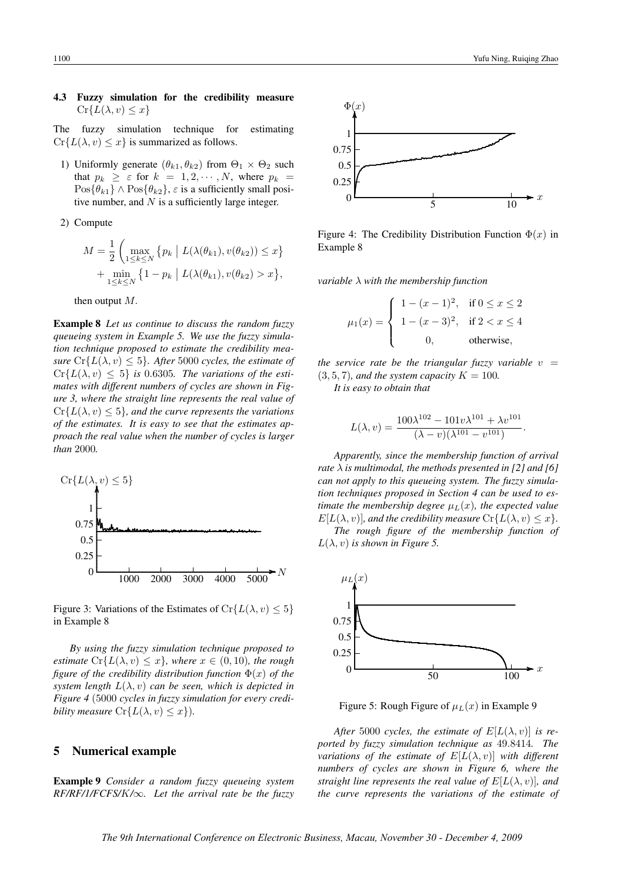#### 4.3 Fuzzy simulation for the credibility measure  $Cr{L(\lambda, v) \leq x}$

The fuzzy simulation technique for estimating  $Cr{L(\lambda, v) \leq x}$  is summarized as follows.

1) Uniformly generate  $(\theta_{k1}, \theta_{k2})$  from  $\Theta_1 \times \Theta_2$  such that  $p_k \geq \varepsilon$  for  $k = 1, 2, \dots, N$ , where  $p_k =$  $\text{Pos}\{\theta_{k1}\}\wedge\text{Pos}\{\theta_{k2}\}, \varepsilon$  is a sufficiently small positive number, and  $N$  is a sufficiently large integer.

2) Compute

$$
M = \frac{1}{2} \left( \max_{1 \le k \le N} \left\{ p_k \mid L(\lambda(\theta_{k1}), v(\theta_{k2})) \le x \right\} + \min_{1 \le k \le N} \left\{ 1 - p_k \mid L(\lambda(\theta_{k1}), v(\theta_{k2}) > x \right\},\right.
$$

then output M.

Example 8 *Let us continue to discuss the random fuzzy queueing system in Example 5. We use the fuzzy simulation technique proposed to estimate the credibility measure*  $Cr{L(\lambda, v) \leq 5}$ *. After* 5000 *cycles, the estimate of*  $Cr{L(\lambda, v) \leq 5}$  *is* 0.6305*. The variations of the estimates with different numbers of cycles are shown in Figure 3, where the straight line represents the real value of*  $Cr{L(\lambda, v) \le 5}$ , and the curve represents the variations *of the estimates. It is easy to see that the estimates approach the real value when the number of cycles is larger than* 2000*.*



Figure 3: Variations of the Estimates of  $Cr{L(\lambda, v) \le 5}$ in Example 8

*By using the fuzzy simulation technique proposed to estimate*  $Cr{L(\lambda, v) \leq x}$ *, where*  $x \in (0, 10)$ *, the rough figure of the credibility distribution function*  $\Phi(x)$  *of the system length*  $L(\lambda, v)$  *can be seen, which is depicted in Figure 4* (5000 *cycles in fuzzy simulation for every credibility measure*  $Cr{L(\lambda, v) \leq x}$ .

#### 5 Numerical example

Example 9 *Consider a random fuzzy queueing system RF/RF/1/FCFS/*K*/*∞*. Let the arrival rate be the fuzzy*



Figure 4: The Credibility Distribution Function  $\Phi(x)$  in Example 8

*variable* λ *with the membership function*

$$
\mu_1(x) = \begin{cases} 1 - (x - 1)^2, & \text{if } 0 \le x \le 2 \\ 1 - (x - 3)^2, & \text{if } 2 < x \le 4 \\ 0, & \text{otherwise,} \end{cases}
$$

*the service rate be the triangular fuzzy variable*  $v =$  $(3, 5, 7)$ *, and the system capacity*  $K = 100$ *.* 

*It is easy to obtain that*

$$
L(\lambda, v) = \frac{100\lambda^{102} - 101v\lambda^{101} + \lambda v^{101}}{(\lambda - v)(\lambda^{101} - v^{101})}.
$$

*Apparently, since the membership function of arrival rate*  $\lambda$  *is multimodal, the methods presented in [2] and [6] can not apply to this queueing system. The fuzzy simulation techniques proposed in Section 4 can be used to estimate the membership degree*  $\mu_L(x)$ *, the expected value*  $E[L(\lambda, v)]$ *, and the credibility measure*  $Cr\{L(\lambda, v) \leq x\}$ *. The rough figure of the membership function of*

 $L(\lambda, v)$  *is shown in Figure 5.* 



Figure 5: Rough Figure of  $\mu_L(x)$  in Example 9

*After* 5000 *cycles, the estimate of*  $E[L(\lambda, v)]$  *is reported by fuzzy simulation technique as* 49.8414*. The variations of the estimate of*  $E[L(\lambda, v)]$  *with different numbers of cycles are shown in Figure 6, where the straight line represents the real value of*  $E[L(\lambda, v)]$ *, and the curve represents the variations of the estimate of*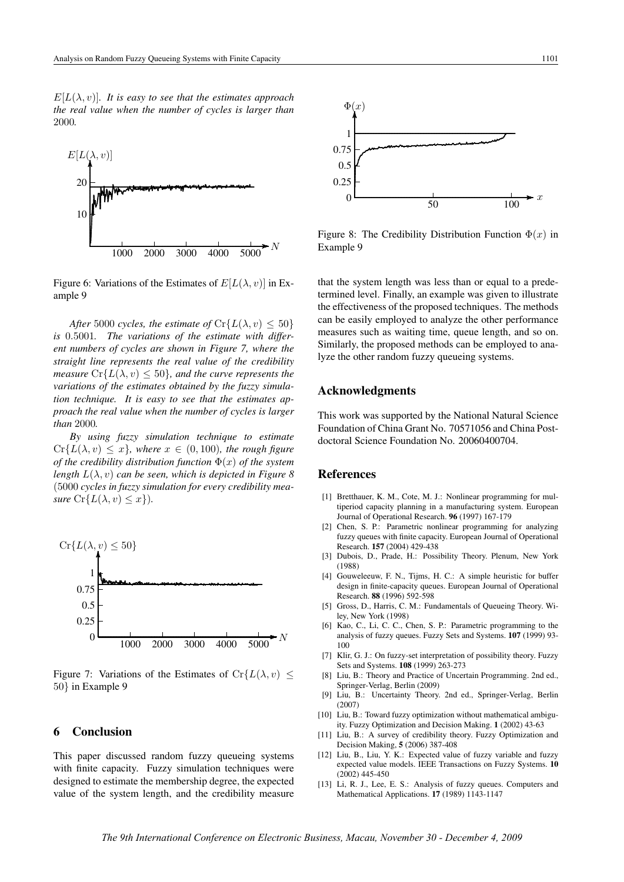

Figure 6: Variations of the Estimates of  $E[L(\lambda, v)]$  in Example 9

*After* 5000 *cycles, the estimate of*  $Cr{L(\lambda, v) \le 50}$ *is* 0.5001*. The variations of the estimate with different numbers of cycles are shown in Figure 7, where the straight line represents the real value of the credibility measure*  $Cr{L(\lambda, v) \le 50}$ *, and the curve represents the variations of the estimates obtained by the fuzzy simulation technique. It is easy to see that the estimates approach the real value when the number of cycles is larger than* 2000*.*

*By using fuzzy simulation technique to estimate*  $Cr{L(\lambda, v) \leq x}$ *, where*  $x \in (0, 100)$ *, the rough figure of the credibility distribution function* Φ(x) *of the system length*  $L(\lambda, v)$  *can be seen, which is depicted in Figure 8* (5000 *cycles in fuzzy simulation for every credibility measure*  $Cr{L(\lambda, v) \leq x}$ .



Figure 7: Variations of the Estimates of Cr $\{L(\lambda, v) \leq$ 50} in Example 9

#### 6 Conclusion

This paper discussed random fuzzy queueing systems with finite capacity. Fuzzy simulation techniques were designed to estimate the membership degree, the expected value of the system length, and the credibility measure



Figure 8: The Credibility Distribution Function  $\Phi(x)$  in Example 9

that the system length was less than or equal to a predetermined level. Finally, an example was given to illustrate the effectiveness of the proposed techniques. The methods can be easily employed to analyze the other performance measures such as waiting time, queue length, and so on. Similarly, the proposed methods can be employed to analyze the other random fuzzy queueing systems.

#### Acknowledgments

This work was supported by the National Natural Science Foundation of China Grant No. 70571056 and China Postdoctoral Science Foundation No. 20060400704.

# References

- [1] Bretthauer, K. M., Cote, M. J.: Nonlinear programming for multiperiod capacity planning in a manufacturing system. European Journal of Operational Research. 96 (1997) 167-179
- [2] Chen, S. P.: Parametric nonlinear programming for analyzing fuzzy queues with finite capacity. European Journal of Operational Research. 157 (2004) 429-438
- [3] Dubois, D., Prade, H.: Possibility Theory. Plenum, New York (1988)
- [4] Gouweleeuw, F. N., Tijms, H. C.: A simple heuristic for buffer design in finite-capacity queues. European Journal of Operational Research. 88 (1996) 592-598
- [5] Gross, D., Harris, C. M.: Fundamentals of Queueing Theory. Wiley, New York (1998)
- [6] Kao, C., Li, C. C., Chen, S. P.: Parametric programming to the analysis of fuzzy queues. Fuzzy Sets and Systems. 107 (1999) 93- 100
- [7] Klir, G. J.: On fuzzy-set interpretation of possibility theory. Fuzzy Sets and Systems. 108 (1999) 263-273
- [8] Liu, B.: Theory and Practice of Uncertain Programming. 2nd ed., Springer-Verlag, Berlin (2009)
- [9] Liu, B.: Uncertainty Theory. 2nd ed., Springer-Verlag, Berlin (2007)
- [10] Liu, B.: Toward fuzzy optimization without mathematical ambiguity. Fuzzy Optimization and Decision Making. 1 (2002) 43-63
- [11] Liu, B.: A survey of credibility theory. Fuzzy Optimization and Decision Making, 5 (2006) 387-408
- [12] Liu, B., Liu, Y. K.: Expected value of fuzzy variable and fuzzy expected value models. IEEE Transactions on Fuzzy Systems. 10 (2002) 445-450
- [13] Li, R. J., Lee, E. S.: Analysis of fuzzy queues. Computers and Mathematical Applications. 17 (1989) 1143-1147